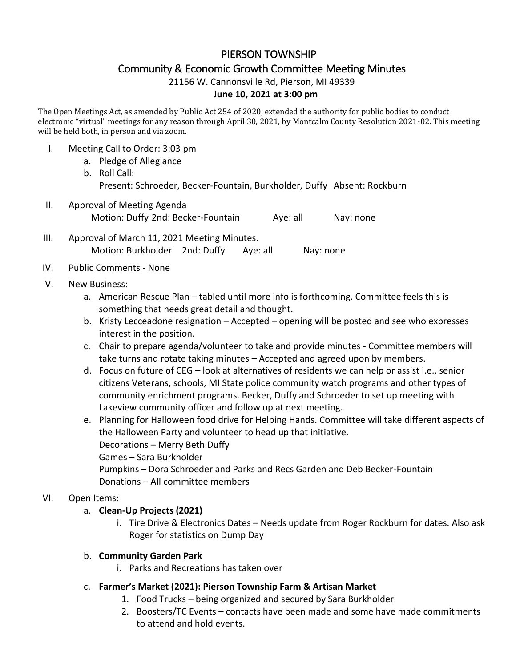# PIERSON TOWNSHIP Community & Economic Growth Committee Meeting Minutes

21156 W. Cannonsville Rd, Pierson, MI 49339

#### **June 10, 2021 at 3:00 pm**

The Open Meetings Act, as amended by Public Act 254 of 2020, extended the authority for public bodies to conduct electronic "virtual" meetings for any reason through April 30, 2021, by Montcalm County Resolution 2021-02. This meeting will be held both, in person and via zoom.

- I. Meeting Call to Order: 3:03 pm
	- a. Pledge of Allegiance b. Roll Call: Present: Schroeder, Becker-Fountain, Burkholder, Duffy Absent: Rockburn
- II. Approval of Meeting Agenda Motion: Duffy 2nd: Becker-Fountain Aye: all Nay: none
- III. Approval of March 11, 2021 Meeting Minutes. Motion: Burkholder 2nd: Duffy Aye: all Nay: none
- IV. Public Comments None
- V. New Business:
	- a. American Rescue Plan tabled until more info is forthcoming. Committee feels this is something that needs great detail and thought.
	- b. Kristy Lecceadone resignation Accepted opening will be posted and see who expresses interest in the position.
	- c. Chair to prepare agenda/volunteer to take and provide minutes Committee members will take turns and rotate taking minutes – Accepted and agreed upon by members.
	- d. Focus on future of CEG look at alternatives of residents we can help or assist i.e., senior citizens Veterans, schools, MI State police community watch programs and other types of community enrichment programs. Becker, Duffy and Schroeder to set up meeting with Lakeview community officer and follow up at next meeting.
	- e. Planning for Halloween food drive for Helping Hands. Committee will take different aspects of the Halloween Party and volunteer to head up that initiative. Decorations – Merry Beth Duffy Games – Sara Burkholder Pumpkins – Dora Schroeder and Parks and Recs Garden and Deb Becker-Fountain Donations – All committee members

### VI. Open Items:

### a. **Clean-Up Projects (2021)**

i. Tire Drive & Electronics Dates – Needs update from Roger Rockburn for dates. Also ask Roger for statistics on Dump Day

### b. **Community Garden Park**

- i. Parks and Recreations has taken over
- c. **Farmer's Market (2021): Pierson Township Farm & Artisan Market**
	- 1. Food Trucks being organized and secured by Sara Burkholder
	- 2. Boosters/TC Events contacts have been made and some have made commitments to attend and hold events.